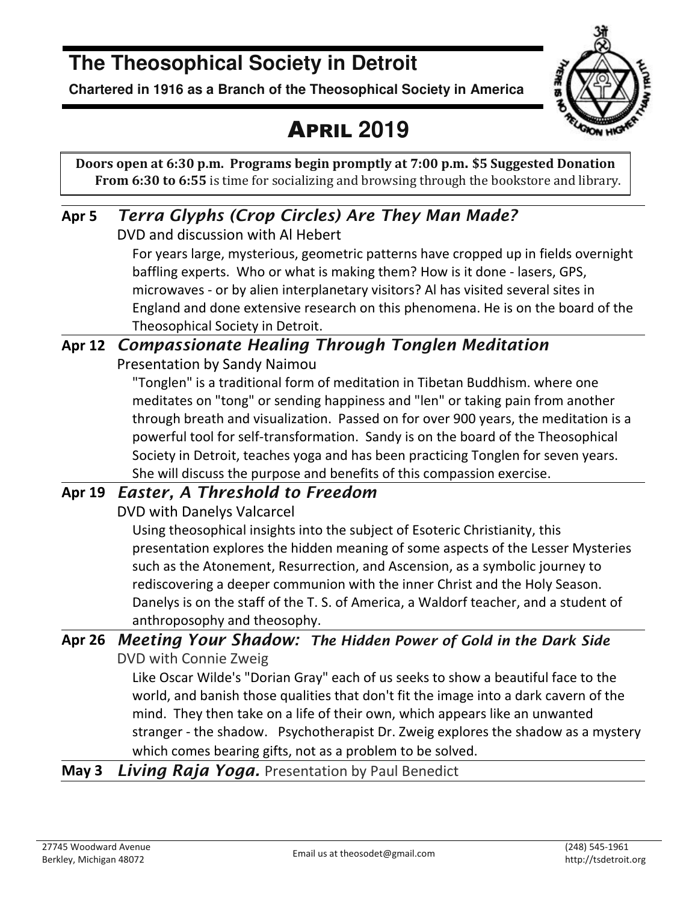### **The Theosophical Society in Detroit**

**Chartered in 1916 as a Branch of the Theosophical Society in America** 



### APRIL **2019**

**Doors open at 6:30 p.m. Programs begin promptly at 7:00 p.m. \$5 Suggested Donation From 6:30 to 6:55** is time for socializing and browsing through the bookstore and library.

#### **Apr 5** *Terra Glyphs (Crop Circles) Are They Man Made?*  DVD and discussion with Al Hebert

For years large, mysterious, geometric patterns have cropped up in fields overnight baffling experts. Who or what is making them? How is it done - lasers, GPS, microwaves - or by alien interplanetary visitors? Al has visited several sites in England and done extensive research on this phenomena. He is on the board of the Theosophical Society in Detroit.

#### **Apr 12** *Compassionate Healing Through Tonglen Meditation*  Presentation by Sandy Naimou

"Tonglen" is a traditional form of meditation in Tibetan Buddhism. where one meditates on "tong" or sending happiness and "len" or taking pain from another through breath and visualization. Passed on for over 900 years, the meditation is a powerful tool for self-transformation. Sandy is on the board of the Theosophical Society in Detroit, teaches yoga and has been practicing Tonglen for seven years. She will discuss the purpose and benefits of this compassion exercise.

### **Apr 19** *Easter, A Threshold to Freedom*

DVD with Danelys Valcarcel

Using theosophical insights into the subject of Esoteric Christianity, this presentation explores the hidden meaning of some aspects of the Lesser Mysteries such as the Atonement, Resurrection, and Ascension, as a symbolic journey to rediscovering a deeper communion with the inner Christ and the Holy Season. Danelys is on the staff of the T. S. of America, a Waldorf teacher, and a student of anthroposophy and theosophy.

#### **Apr 26** *Meeting Your Shadow: The Hidden Power of Gold in the Dark Side*  DVD with Connie Zweig

Like Oscar Wilde's "Dorian Gray" each of us seeks to show a beautiful face to the world, and banish those qualities that don't fit the image into a dark cavern of the mind. They then take on a life of their own, which appears like an unwanted stranger - the shadow. Psychotherapist Dr. Zweig explores the shadow as a mystery which comes bearing gifts, not as a problem to be solved.

#### **May 3** *Living Raja Yoga.* Presentation by Paul Benedict